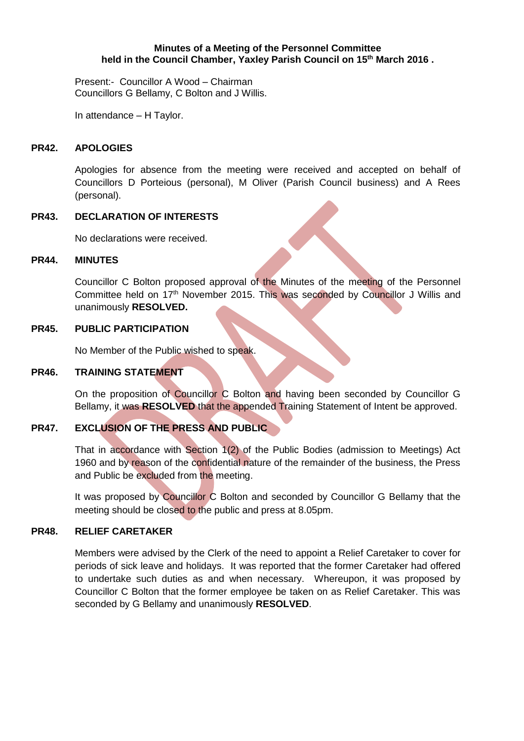#### **Minutes of a Meeting of the Personnel Committee held in the Council Chamber, Yaxley Parish Council on 15th March 2016 .**

Present:- Councillor A Wood – Chairman Councillors G Bellamy, C Bolton and J Willis.

In attendance – H Taylor.

### **PR42. APOLOGIES**

Apologies for absence from the meeting were received and accepted on behalf of Councillors D Porteious (personal), M Oliver (Parish Council business) and A Rees (personal).

## **PR43. DECLARATION OF INTERESTS**

No declarations were received.

#### **PR44. MINUTES**

Councillor C Bolton proposed approval of the Minutes of the meeting of the Personnel Committee held on 17<sup>th</sup> November 2015. This was seconded by Councillor J Willis and unanimously **RESOLVED.**

### **PR45. PUBLIC PARTICIPATION**

No Member of the Public wished to speak.

# **PR46. TRAINING STATEMENT**

On the proposition of Councillor C Bolton and having been seconded by Councillor G Bellamy, it was **RESOLVED** that the appended Training Statement of Intent be approved.

## **PR47. EXCLUSION OF THE PRESS AND PUBLIC**

That in accordance with Section 1(2) of the Public Bodies (admission to Meetings) Act 1960 and by reason of the confidential nature of the remainder of the business, the Press and Public be excluded from the meeting.

It was proposed by Councillor C Bolton and seconded by Councillor G Bellamy that the meeting should be closed to the public and press at 8.05pm.

## **PR48. RELIEF CARETAKER**

Members were advised by the Clerk of the need to appoint a Relief Caretaker to cover for periods of sick leave and holidays. It was reported that the former Caretaker had offered to undertake such duties as and when necessary. Whereupon, it was proposed by Councillor C Bolton that the former employee be taken on as Relief Caretaker. This was seconded by G Bellamy and unanimously **RESOLVED**.